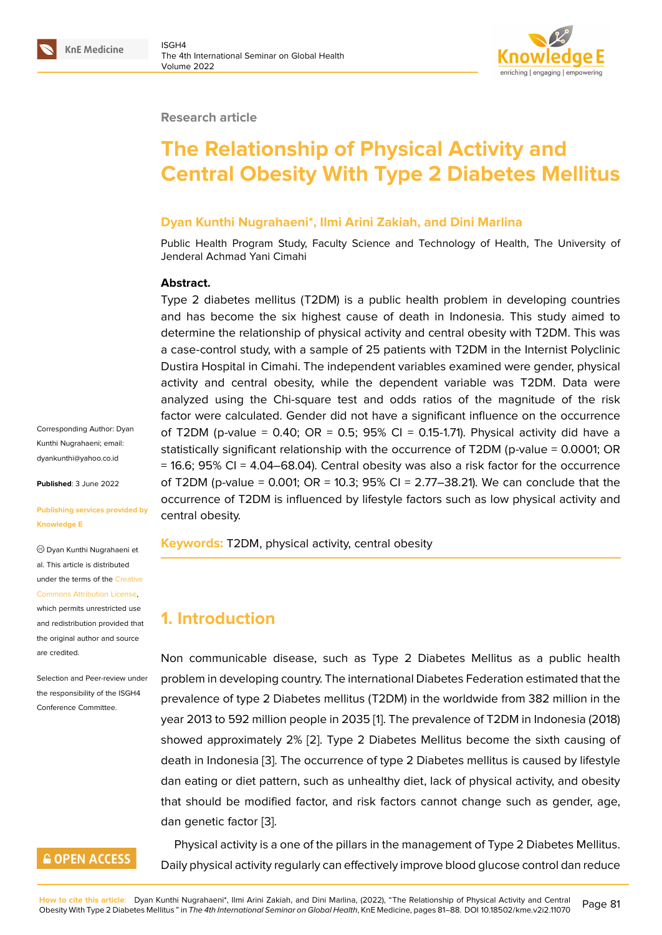#### **Research article**

# **The Relationship of Physical Activity and Central Obesity With Type 2 Diabetes Mellitus**

#### **Dyan Kunthi Nugrahaeni\*, Ilmi Arini Zakiah, and Dini Marlina**

Public Health Program Study, Faculty Science and Technology of Health, The University of Jenderal Achmad Yani Cimahi

#### **Abstract.**

Type 2 diabetes mellitus (T2DM) is a public health problem in developing countries and has become the six highest cause of death in Indonesia. This study aimed to determine the relationship of physical activity and central obesity with T2DM. This was a case-control study, with a sample of 25 patients with T2DM in the Internist Polyclinic Dustira Hospital in Cimahi. The independent variables examined were gender, physical activity and central obesity, while the dependent variable was T2DM. Data were analyzed using the Chi-square test and odds ratios of the magnitude of the risk factor were calculated. Gender did not have a significant influence on the occurrence of T2DM (p-value = 0.40; OR = 0.5;  $95\%$  CI = 0.15-1.71). Physical activity did have a statistically significant relationship with the occurrence of T2DM (p-value = 0.0001; OR  $= 16.6$ ; 95% CI = 4.04–68.04). Central obesity was also a risk factor for the occurrence of T2DM (p-value = 0.001; OR = 10.3; 95% CI = 2.77–38.21). We can conclude that the occurrence of T2DM is influenced by lifestyle factors such as low physical activity and central obesity.

**Keywords:** T2DM, physical activity, central obesity

# **1. Introduction**

Non communicable disease, such as Type 2 Diabetes Mellitus as a public health problem in developing country. The international Diabetes Federation estimated that the prevalence of type 2 Diabetes mellitus (T2DM) in the worldwide from 382 million in the year 2013 to 592 million people in 2035 [1]. The prevalence of T2DM in Indonesia (2018) showed approximately 2% [2]. Type 2 Diabetes Mellitus become the sixth causing of death in Indonesia [3]. The occurrence of type 2 Diabetes mellitus is caused by lifestyle dan eating or diet pattern, such as unhe[a](#page-6-0)lthy diet, lack of physical activity, and obesity that should be modified fa[cto](#page-6-1)r, and risk factors cannot change such as gender, age, dan genetic factor [[3](#page-6-2)].

Physical activity is a one of the pillars in the management of Type 2 Diabetes Mellitus. Daily physical activi[ty](#page-6-2) regularly can effectively improve blood glucose control dan reduce

Kunthi Nugrahaeni; email: dyankunthi@yahoo.co.id

Corresponding Author: Dyan

**Published**: 3 June 2022

#### **[Publishing services prov](mailto:dyankunthi@yahoo.co.id)ided by Knowledge E**

Dyan Kunthi Nugrahaeni et al. This article is distributed under the terms of the Creative Commons Attribution License,

which permits unrestricted use and redistribution provided that the original author and [source](https://creativecommons.org/licenses/by/4.0/) [are credited.](https://creativecommons.org/licenses/by/4.0/)

Selection and Peer-review under the responsibility of the ISGH4 Conference Committee.

## **GOPEN ACCESS**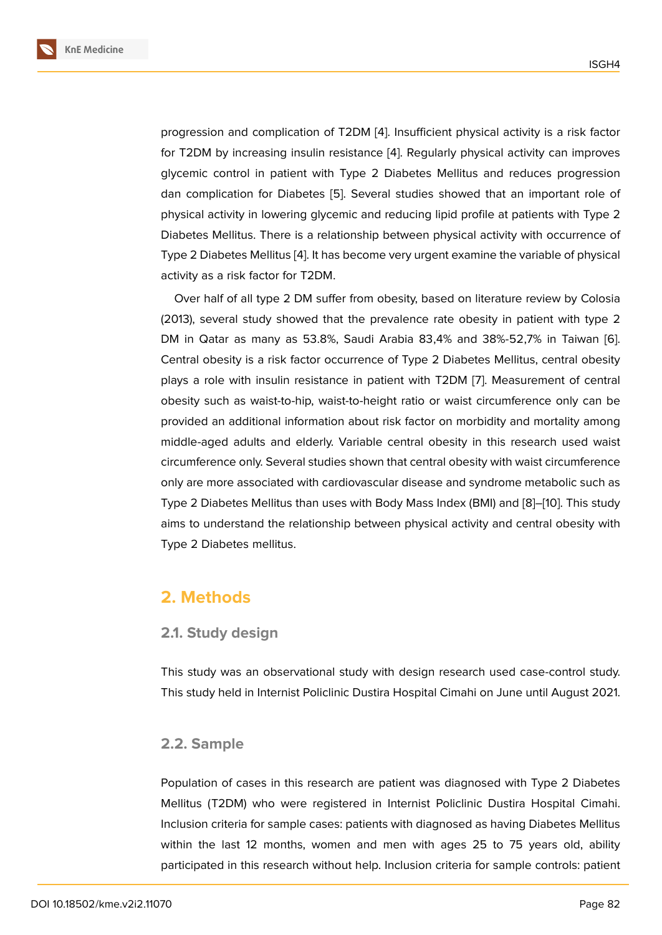progression and complication of T2DM [4]. Insufficient physical activity is a risk factor for T2DM by increasing insulin resistance [4]. Regularly physical activity can improves glycemic control in patient with Type 2 Diabetes Mellitus and reduces progression dan complication for Diabetes [5]. Seve[ra](#page-6-3)l studies showed that an important role of physical activity in lowering glycemic and r[ed](#page-6-3)ucing lipid profile at patients with Type 2 Diabetes Mellitus. There is a relationship between physical activity with occurrence of Type 2 Diabetes Mellitus [4]. It h[as](#page-6-4) become very urgent examine the variable of physical activity as a risk factor for T2DM.

Over half of all type 2 DM suffer from obesity, based on literature review by Colosia (2013), several study sho[w](#page-6-3)ed that the prevalence rate obesity in patient with type 2 DM in Qatar as many as 53.8%, Saudi Arabia 83,4% and 38%-52,7% in Taiwan [6]. Central obesity is a risk factor occurrence of Type 2 Diabetes Mellitus, central obesity plays a role with insulin resistance in patient with T2DM [7]. Measurement of central obesity such as waist-to-hip, waist-to-height ratio or waist circumference only can [be](#page-6-5) provided an additional information about risk factor on morbidity and mortality among middle-aged adults and elderly. Variable central obesity i[n](#page-6-6) this research used waist circumference only. Several studies shown that central obesity with waist circumference only are more associated with cardiovascular disease and syndrome metabolic such as Type 2 Diabetes Mellitus than uses with Body Mass Index (BMI) and [8]–[10]. This study aims to understand the relationship between physical activity and central obesity with Type 2 Diabetes mellitus.

# **2. Methods**

### **2.1. Study design**

This study was an observational study with design research used case-control study. This study held in Internist Policlinic Dustira Hospital Cimahi on June until August 2021.

### **2.2. Sample**

Population of cases in this research are patient was diagnosed with Type 2 Diabetes Mellitus (T2DM) who were registered in Internist Policlinic Dustira Hospital Cimahi. Inclusion criteria for sample cases: patients with diagnosed as having Diabetes Mellitus within the last 12 months, women and men with ages 25 to 75 years old, ability participated in this research without help. Inclusion criteria for sample controls: patient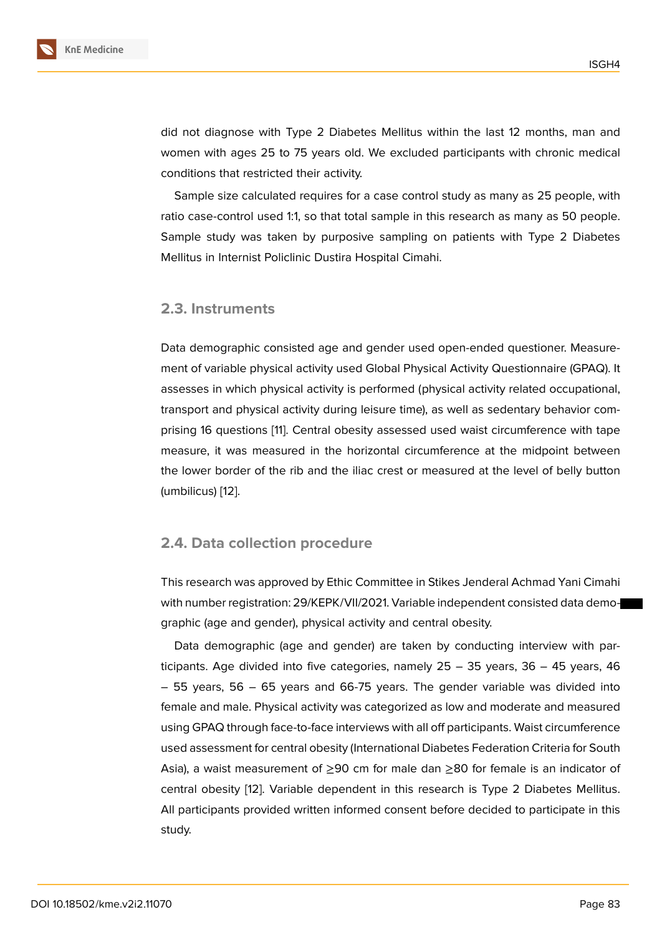did not diagnose with Type 2 Diabetes Mellitus within the last 12 months, man and women with ages 25 to 75 years old. We excluded participants with chronic medical conditions that restricted their activity.

Sample size calculated requires for a case control study as many as 25 people, with ratio case-control used 1:1, so that total sample in this research as many as 50 people. Sample study was taken by purposive sampling on patients with Type 2 Diabetes Mellitus in Internist Policlinic Dustira Hospital Cimahi.

#### **2.3. Instruments**

Data demographic consisted age and gender used open-ended questioner. Measurement of variable physical activity used Global Physical Activity Questionnaire (GPAQ). It assesses in which physical activity is performed (physical activity related occupational, transport and physical activity during leisure time), as well as sedentary behavior comprising 16 questions [11]. Central obesity assessed used waist circumference with tape measure, it was measured in the horizontal circumference at the midpoint between the lower border of the rib and the iliac crest or measured at the level of belly button (umbilicus) [12].

#### **2.4. Dat[a c](#page-7-0)ollection procedure**

This research was approved by Ethic Committee in Stikes Jenderal Achmad Yani Cimahi with number registration: 29/KEPK/VII/2021. Variable independent consisted data demographic (age and gender), physical activity and central obesity.

Data demographic (age and gender) are taken by conducting interview with participants. Age divided into five categories, namely 25 – 35 years, 36 – 45 years, 46 – 55 years, 56 – 65 years and 66-75 years. The gender variable was divided into female and male. Physical activity was categorized as low and moderate and measured using GPAQ through face-to-face interviews with all off participants. Waist circumference used assessment for central obesity (International Diabetes Federation Criteria for South Asia), a waist measurement of  $\geq 90$  cm for male dan  $\geq 80$  for female is an indicator of central obesity [12]. Variable dependent in this research is Type 2 Diabetes Mellitus. All participants provided written informed consent before decided to participate in this study.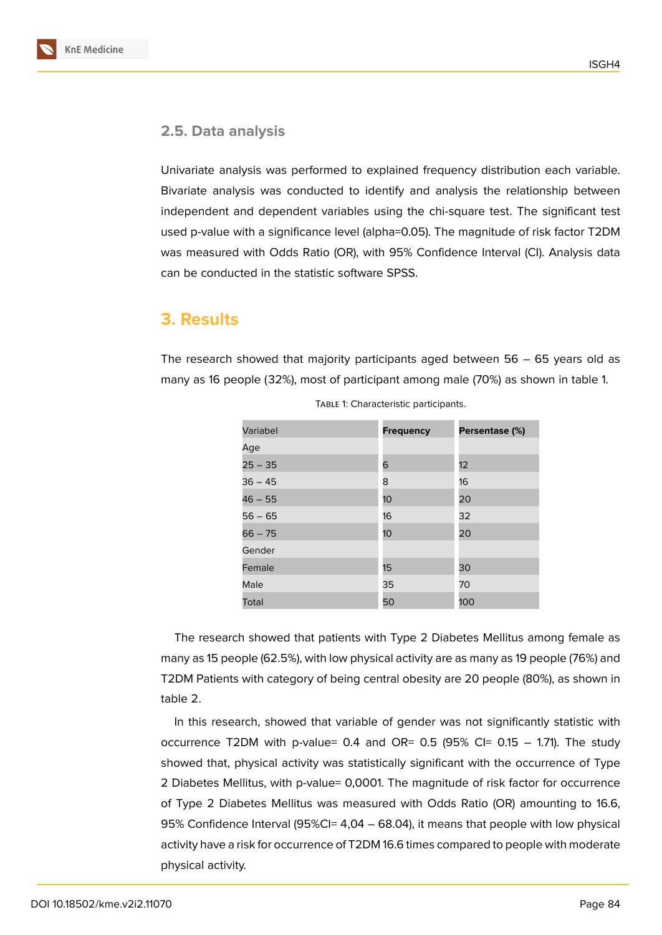

#### **2.5. Data analysis**

Univariate analysis was performed to explained frequency distribution each variable. Bivariate analysis was conducted to identify and analysis the relationship between independent and dependent variables using the chi-square test. The significant test used p-value with a significance level (alpha=0.05). The magnitude of risk factor T2DM was measured with Odds Ratio (OR), with 95% Confidence Interval (CI). Analysis data can be conducted in the statistic software SPSS.

## **3. Results**

The research showed that majority participants aged between  $56 - 65$  years old as many as 16 people (32%), most of participant among male (70%) as shown in table 1.

| Variabel  | <b>Frequency</b> | Persentase (%) |
|-----------|------------------|----------------|
| Age       |                  |                |
| $25 - 35$ | 6                | 12             |
| $36 - 45$ | 8                | 16             |
| $46 - 55$ | 10               | 20             |
| $56 - 65$ | 16               | 32             |
| $66 - 75$ | 10 <sup>°</sup>  | 20             |
| Gender    |                  |                |
| Female    | 15               | 30             |
| Male      | 35               | 70             |
| Total     | 50               | 100            |

TABLE 1: Characteristic participants.

The research showed that patients with Type 2 Diabetes Mellitus among female as many as 15 people (62.5%), with low physical activity are as many as 19 people (76%) and T2DM Patients with category of being central obesity are 20 people (80%), as shown in table 2.

In this research, showed that variable of gender was not significantly statistic with occurrence T2DM with p-value=  $0.4$  and OR=  $0.5$  (95% CI=  $0.15 - 1.71$ ). The study showed that, physical activity was statistically significant with the occurrence of Type 2 Diabetes Mellitus, with p-value= 0,0001. The magnitude of risk factor for occurrence of Type 2 Diabetes Mellitus was measured with Odds Ratio (OR) amounting to 16.6, 95% Confidence Interval (95%CI= 4,04 – 68.04), it means that people with low physical activity have a risk for occurrence of T2DM 16.6 times compared to people with moderate physical activity.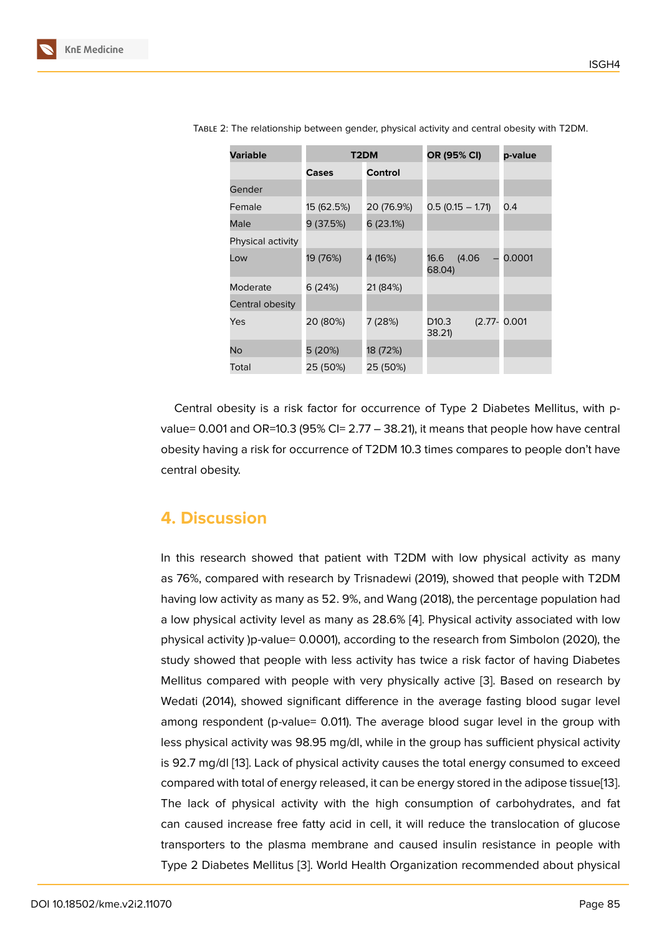| <b>Variable</b>   | T2DM       |            | OR (95% CI)                 | p-value          |
|-------------------|------------|------------|-----------------------------|------------------|
|                   | Cases      | Control    |                             |                  |
| Gender            |            |            |                             |                  |
| Female            | 15 (62.5%) | 20 (76.9%) | $0.5(0.15 - 1.71)$          | 0.4              |
| Male              | 9(37.5%)   | 6 (23.1%)  |                             |                  |
| Physical activity |            |            |                             |                  |
| Low               | 19 (76%)   | 4 (16%)    | 16.6<br>(4.06)<br>68.04)    | 0.0001           |
| Moderate          | 6 (24%)    | 21 (84%)   |                             |                  |
| Central obesity   |            |            |                             |                  |
| Yes               | 20 (80%)   | 7 (28%)    | D <sub>10.3</sub><br>38.21) | $(2.77 - 0.001)$ |
| No                | 5 (20%)    | 18 (72%)   |                             |                  |
| Total             | 25 (50%)   | 25 (50%)   |                             |                  |

Table 2: The relationship between gender, physical activity and central obesity with T2DM.

Central obesity is a risk factor for occurrence of Type 2 Diabetes Mellitus, with pvalue= 0.001 and OR=10.3 (95% CI=  $2.77 - 38.21$ ), it means that people how have central obesity having a risk for occurrence of T2DM 10.3 times compares to people don't have central obesity.

## **4. Discussion**

In this research showed that patient with T2DM with low physical activity as many as 76%, compared with research by Trisnadewi (2019), showed that people with T2DM having low activity as many as 52. 9%, and Wang (2018), the percentage population had a low physical activity level as many as 28.6% [4]. Physical activity associated with low physical activity )p-value= 0.0001), according to the research from Simbolon (2020), the study showed that people with less activity has twice a risk factor of having Diabetes Mellitus compared with people with very phy[sic](#page-6-3)ally active [3]. Based on research by Wedati (2014), showed significant difference in the average fasting blood sugar level among respondent (p-value= 0.011). The average blood sugar level in the group with less physical activity was 98.95 mg/dl, while in the group has [s](#page-6-2)ufficient physical activity is 92.7 mg/dl [13]. Lack of physical activity causes the total energy consumed to exceed compared with total of energy released, it can be energy stored in the adipose tissue[13]. The lack of physical activity with the high consumption of carbohydrates, and fat can caused i[ncr](#page-7-1)ease free fatty acid in cell, it will reduce the translocation of glucose transporters to the plasma membrane and caused insulin resistance in people [with](#page-7-1) Type 2 Diabetes Mellitus [3]. World Health Organization recommended about physical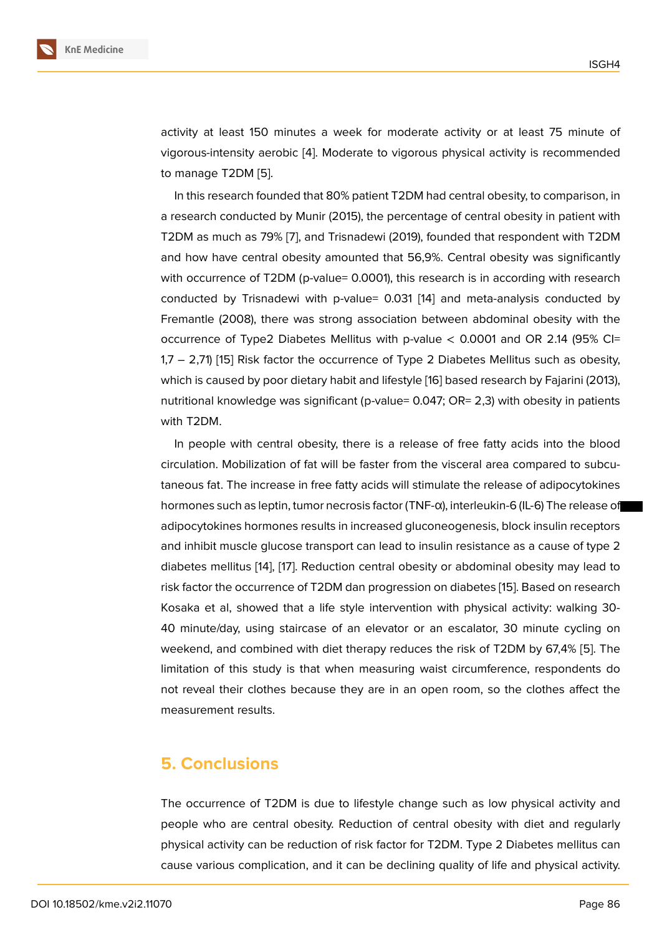activity at least 150 minutes a week for moderate activity or at least 75 minute of vigorous-intensity aerobic [4]. Moderate to vigorous physical activity is recommended to manage T2DM [5].

In this research founded that 80% patient T2DM had central obesity, to comparison, in a research conducted by [Mu](#page-6-3)nir (2015), the percentage of central obesity in patient with T2DM as much as [79](#page-6-4)% [7], and Trisnadewi (2019), founded that respondent with T2DM and how have central obesity amounted that 56,9%. Central obesity was significantly with occurrence of T2DM (p-value= 0.0001), this research is in according with research conducted by Trisnade[w](#page-6-6)i with p-value= 0.031 [14] and meta-analysis conducted by Fremantle (2008), there was strong association between abdominal obesity with the occurrence of Type2 Diabetes Mellitus with p-value  $<$  0.0001 and OR 2.14 (95% CI= 1,7 – 2,71) [15] Risk factor the occurrence of Typ[e 2](#page-7-2) Diabetes Mellitus such as obesity, which is caused by poor dietary habit and lifestyle [16] based research by Fajarini (2013), nutritional knowledge was significant (p-value= 0.047; OR= 2,3) with obesity in patients with T2DM[.](#page-7-3)

In people with central obesity, there is a relea[se](#page-7-4) of free fatty acids into the blood circulation. Mobilization of fat will be faster from the visceral area compared to subcutaneous fat. The increase in free fatty acids will stimulate the release of adipocytokines hormones such as leptin, tumor necrosis factor (TNF-α), interleukin-6 (IL-6) The release of adipocytokines hormones results in increased gluconeogenesis, block insulin receptors and inhibit muscle glucose transport can lead to insulin resistance as a cause of type 2 diabetes mellitus [14], [17]. Reduction central obesity or abdominal obesity may lead to risk factor the occurrence of T2DM dan progression on diabetes [15]. Based on research Kosaka et al, showed that a life style intervention with physical activity: walking 30- 40 minute/day, u[sing](#page-7-2) [sta](#page-7-5)ircase of an elevator or an escalator, 30 minute cycling on weekend, and combined with diet therapy reduces the risk of T[2D](#page-7-3)M by 67,4% [5]. The limitation of this study is that when measuring waist circumference, respondents do not reveal their clothes because they are in an open room, so the clothes affect the measurement results.

## **5. Conclusions**

The occurrence of T2DM is due to lifestyle change such as low physical activity and people who are central obesity. Reduction of central obesity with diet and regularly physical activity can be reduction of risk factor for T2DM. Type 2 Diabetes mellitus can cause various complication, and it can be declining quality of life and physical activity.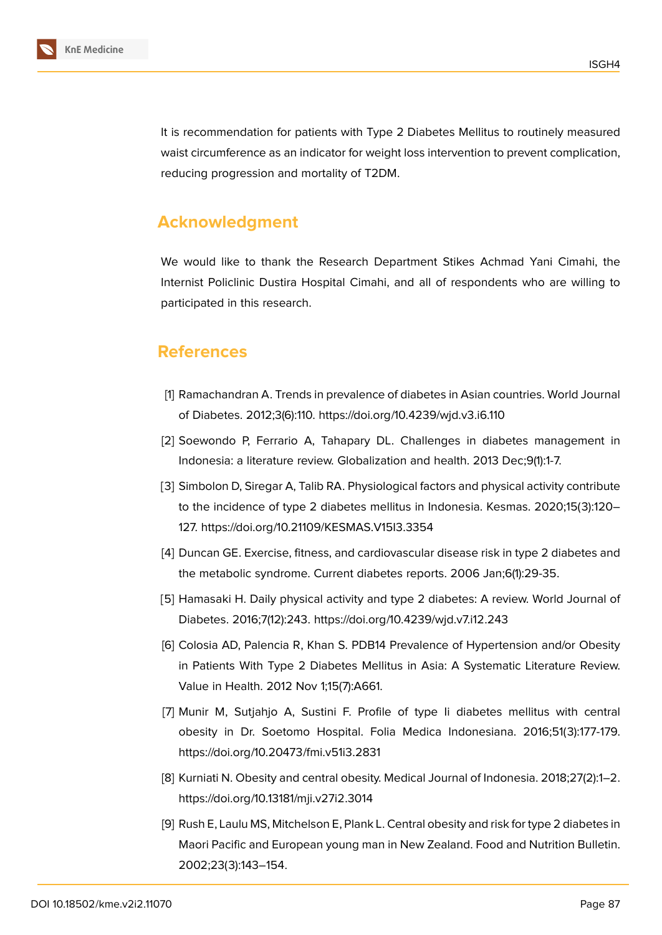

It is recommendation for patients with Type 2 Diabetes Mellitus to routinely measured waist circumference as an indicator for weight loss intervention to prevent complication, reducing progression and mortality of T2DM.

# **Acknowledgment**

We would like to thank the Research Department Stikes Achmad Yani Cimahi, the Internist Policlinic Dustira Hospital Cimahi, and all of respondents who are willing to participated in this research.

# **References**

- <span id="page-6-0"></span>[1] Ramachandran A. Trends in prevalence of diabetes in Asian countries. World Journal of Diabetes. 2012;3(6):110. https://doi.org/10.4239/wjd.v3.i6.110
- <span id="page-6-1"></span>[2] Soewondo P, Ferrario A, Tahapary DL. Challenges in diabetes management in Indonesia: a literature review. Globalization and health. 2013 Dec;9(1):1-7.
- <span id="page-6-2"></span>[3] Simbolon D, Siregar A, Talib RA. Physiological factors and physical activity contribute to the incidence of type 2 diabetes mellitus in Indonesia. Kesmas. 2020;15(3):120– 127. https://doi.org/10.21109/KESMAS.V15I3.3354
- <span id="page-6-3"></span>[4] Duncan GE. Exercise, fitness, and cardiovascular disease risk in type 2 diabetes and the metabolic syndrome. Current diabetes reports. 2006 Jan;6(1):29-35.
- <span id="page-6-4"></span>[5] Hamasaki H. Daily physical activity and type 2 diabetes: A review. World Journal of Diabetes. 2016;7(12):243. https://doi.org/10.4239/wjd.v7.i12.243
- <span id="page-6-5"></span>[6] Colosia AD, Palencia R, Khan S. PDB14 Prevalence of Hypertension and/or Obesity in Patients With Type 2 Diabetes Mellitus in Asia: A Systematic Literature Review. Value in Health. 2012 Nov 1;15(7):A661.
- <span id="page-6-6"></span>[7] Munir M, Sutjahjo A, Sustini F. Profile of type Ii diabetes mellitus with central obesity in Dr. Soetomo Hospital. Folia Medica Indonesiana. 2016;51(3):177-179. https://doi.org/10.20473/fmi.v51i3.2831
- [8] Kurniati N. Obesity and central obesity. Medical Journal of Indonesia. 2018;27(2):1–2. https://doi.org/10.13181/mji.v27i2.3014
- [9] Rush E, Laulu MS, Mitchelson E, Plank L. Central obesity and risk for type 2 diabetes in Maori Pacific and European young man in New Zealand. Food and Nutrition Bulletin. 2002;23(3):143–154.